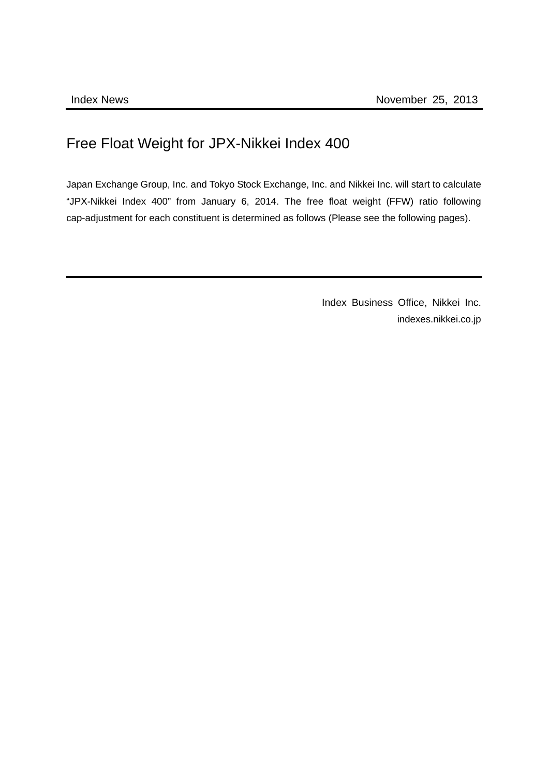## Free Float Weight for JPX-Nikkei Index 400

Japan Exchange Group, Inc. and Tokyo Stock Exchange, Inc. and Nikkei Inc. will start to calculate "JPX-Nikkei Index 400" from January 6, 2014. The free float weight (FFW) ratio following cap-adjustment for each constituent is determined as follows (Please see the following pages).

> Index Business Office, Nikkei Inc. indexes.nikkei.co.jp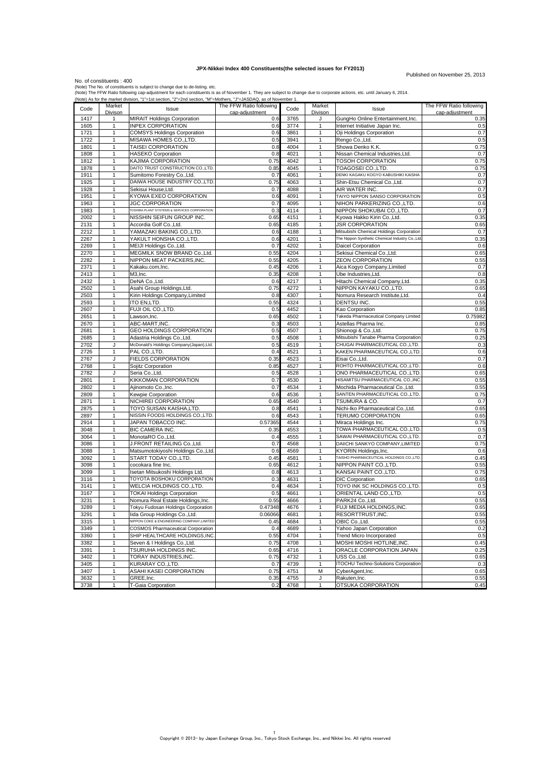## **JPX-Nikkei Index 400 Constituents(the selected issues for FY2013)**

Published on November 25, 2013

No. of constituents : 400<br>(Note) The No. of constituents is subject to change due to de-listing. etc.<br>(Note) The FFW Ratio following cap-adjustment for each constituents is as of November 1. They are subject to change due

| (Note) As for the market division, "1"=1st section, "2"=2nd section, "M"=Mothers, "J"=JASDAQ, as of November 1. |                              |                                                                                   |                          |              |                   |                                                          |                         |  |
|-----------------------------------------------------------------------------------------------------------------|------------------------------|-----------------------------------------------------------------------------------|--------------------------|--------------|-------------------|----------------------------------------------------------|-------------------------|--|
| Code                                                                                                            | Market                       | Issue                                                                             | The FFW Ratio following  | Code         | Market            | Issue                                                    | The FFW Ratio following |  |
| 1417                                                                                                            | Divison<br>1                 | <b>MIRAIT Holdings Corporation</b>                                                | cap-adjustment<br>0.6    | 3765         | Divison<br>J      | GungHo Online Entertainment, Inc.                        | cap-adjustment<br>0.35  |  |
| 1605                                                                                                            | $\mathbf{1}$                 | <b>INPEX CORPORATION</b>                                                          | 0.6                      | 3774         | 1                 | Internet Initiative Japan Inc.                           | 0.5                     |  |
| 1721                                                                                                            | $\mathbf{1}$                 | <b>COMSYS Holdings Corporation</b>                                                | 0.6                      | 3861         | 1                 | Oji Holdings Corporation                                 | 0.7                     |  |
| 1722                                                                                                            | $\mathbf{1}$                 | MISAWA HOMES CO.,LTD.                                                             | 0.5                      | 3941         | 1                 | Rengo Co., Ltd.                                          | 0.5                     |  |
| 1801                                                                                                            | $\mathbf{1}$                 | <b>TAISEI CORPORATION</b>                                                         | 0.8                      | 4004         | 1                 | Showa Denko K.K.                                         | 0.75                    |  |
| 1808                                                                                                            | $\mathbf{1}$                 | <b>HASEKO Corporation</b>                                                         | 0.8                      | 4021         | 1                 | Nissan Chemical Industries, Ltd.                         | 0.7                     |  |
| 1812                                                                                                            | 1                            | KAJIMA CORPORATION                                                                | 0.75                     | 4042         | 1                 | TOSOH CORPORATION                                        | 0.75                    |  |
| 1878                                                                                                            | $\mathbf{1}$                 | DAITO TRUST CONSTRUCTION CO., LTD.                                                | 0.85                     | 4045         | 1                 | TOAGOSEI CO., LTD.                                       | 0.75                    |  |
| 1911                                                                                                            | $\mathbf{1}$                 | Sumitomo Forestry Co., Ltd.                                                       | 0.7                      | 4061         | 1                 | DENKI KAGAKU KOGYO KABUSHIKI KAISHA                      | 0.7                     |  |
| 1925                                                                                                            | 1                            | DAIWA HOUSE INDUSTRY CO., LTD                                                     | 0.75                     | 4063         | 1                 | Shin-Etsu Chemical Co., Ltd.                             | 0.7                     |  |
| 1928                                                                                                            | $\mathbf{1}$                 | Sekisui House, Ltd.                                                               | 0.7                      | 4088         | 1                 | AIR WATER INC.                                           | 0.7                     |  |
| 1951                                                                                                            | 1                            | KYOWA EXEO CORPORATION                                                            | 0.6                      | 4091         | 1                 | TAIYO NIPPON SANSO CORPORATION                           | 0.5                     |  |
| 1963                                                                                                            | $\mathbf{1}$                 | <b>JGC CORPORATION</b><br><b>TOSHIBA PLANT SYSTEMS &amp; SERVICES CORPORATION</b> | 0.7                      | 4095         | 1                 | NIHON PARKERIZING CO., LTD.                              | 0.6                     |  |
| 1983<br>2002                                                                                                    | $\mathbf{1}$<br>$\mathbf{1}$ | NISSHIN SEIFUN GROUP INC.                                                         | $0.\overline{3}$<br>0.65 | 4114<br>4151 | 1<br>1            | NIPPON SHOKUBAI CO., LTD.<br>Kyowa Hakko Kirin Co.,Ltd.  | 0.7<br>0.35             |  |
| 2131                                                                                                            | $\mathbf{1}$                 | Accordia Golf Co., Ltd.                                                           | 0.65                     | 4185         | $\mathbf{1}$      | <b>JSR CORPORATION</b>                                   | 0.65                    |  |
| 2212                                                                                                            | 1                            | YAMAZAKI BAKING CO.,LTD.                                                          | 0.6                      | 4188         | $\mathbf{1}$      | Mitsubishi Chemical Holdings Corporation                 | 0.7                     |  |
| 2267                                                                                                            | $\mathbf{1}$                 | YAKULT HONSHA CO., LTD.                                                           | 0.6                      | 4201         | 1                 | The Nippon Synthetic Chemical Industry Co., Ltd          | 0.35                    |  |
| 2269                                                                                                            | 1                            | MEIJI Holdings Co., Ltd.                                                          | 0.7                      | 4202         | 1                 | Daicel Corporation                                       | 0.6                     |  |
| 2270                                                                                                            | $\mathbf{1}$                 | MEGMILK SNOW BRAND Co., Ltd.                                                      | 0.55                     | 4204         | $\mathbf{1}$      | Sekisui Chemical Co., Ltd.                               | 0.65                    |  |
| 2282                                                                                                            | 1                            | NIPPON MEAT PACKERS, INC.                                                         | 0.55                     | 4205         | 1                 | <b>ZEON CORPORATION</b>                                  | 0.55                    |  |
| 2371                                                                                                            | $\mathbf{1}$                 | Kakaku.com, Inc.                                                                  | 0.45                     | 4206         | 1                 | Aica Kogyo Company, Limited                              | 0.7                     |  |
| 2413                                                                                                            | $\mathbf{1}$                 | M3, Inc.                                                                          | 0.35                     | 4208         | 1                 | Ube Industries, Ltd.                                     | 0.8                     |  |
| 2432                                                                                                            | $\mathbf{1}$                 | DeNA Co., Ltd.                                                                    | 0.6                      | 4217         | $\mathbf{1}$      | Hitachi Chemical Company, Ltd.                           | 0.35                    |  |
| 2502                                                                                                            | 1                            | Asahi Group Holdings, Ltd.                                                        | 0.75                     | 4272         | 1                 | NIPPON KAYAKU CO.,LTD.                                   | 0.65                    |  |
| 2503                                                                                                            | $\mathbf{1}$                 | Kirin Holdings Company, Limited                                                   | 0.8                      | 4307         | 1                 | Nomura Research Institute, Ltd.                          | 0.4                     |  |
| 2593                                                                                                            | $\mathbf{1}$                 | ITO EN,LTD.                                                                       | 0.55                     | 4324         | $\mathbf{1}$      | DENTSU INC.                                              | 0.55                    |  |
| 2607                                                                                                            | $\mathbf{1}$<br>$\mathbf{1}$ | FUJI OIL CO., LTD.                                                                | 0.5<br>0.65              | 4452<br>4502 | 1<br>1            | Kao Corporation<br>Takeda Pharmaceutical Company Limited | 0.85                    |  |
| 2651<br>2670                                                                                                    | $\mathbf{1}$                 | Lawson, Inc.<br>ABC-MART, INC.                                                    | 0.3                      | 4503         | $\mathbf{1}$      | Astellas Pharma Inc.                                     | 0.75982<br>0.85         |  |
| 2681                                                                                                            | $\mathbf{1}$                 | GEO HOLDINGS CORPORATION                                                          | 0.5                      | 4507         | $\mathbf{1}$      | Shionogi & Co., Ltd.                                     | 0.75                    |  |
| 2685                                                                                                            | $\mathbf{1}$                 | Adastria Holdings Co., Ltd.                                                       | 0.5                      | 4508         | 1                 | Mitsubishi Tanabe Pharma Corporation                     | 0.25                    |  |
| 2702                                                                                                            | J                            | McDonald's Holdings Company(Japan), Ltd.                                          | 0.5                      | 4519         | 1                 | CHUGAI PHARMACEUTICAL CO.,LTD.                           | 0.3                     |  |
| 2726                                                                                                            | $\mathbf{1}$                 | PAL CO., LTD.                                                                     | 0.4                      | 4521         | $\mathbf{1}$      | KAKEN PHARMACEUTICAL COLTD                               | 0.6                     |  |
| 2767                                                                                                            | J                            | <b>FIELDS CORPORATION</b>                                                         | 0.35                     | 4523         | 1                 | Eisai Co., Ltd.                                          | 0.7                     |  |
| 2768                                                                                                            | $\mathbf{1}$                 | Sojitz Corporation                                                                | 0.85                     | 4527         | $\mathbf{1}$      | ROHTO PHARMACEUTICAL CO.,LTD.                            | 0.6                     |  |
| 2782                                                                                                            | J                            | Seria Co., Ltd.                                                                   | 0.5                      | 4528         | 1                 | ONO PHARMACEUTICAL CO.,LTD                               | 0.65                    |  |
| 2801                                                                                                            | $\mathbf{1}$                 | KIKKOMAN CORPORATION                                                              | 0.7                      | 4530         | $\mathbf{1}$      | HISAMITSU PHARMACEUTICAL CO., INC                        | 0.55                    |  |
| 2802                                                                                                            | $\mathbf{1}$                 | Ajinomoto Co., Inc.                                                               | 0.7                      | 4534         | 1                 | Mochida Pharmaceutical Co., Ltd.                         | 0.55                    |  |
| 2809                                                                                                            | 1                            | Kewpie Corporation                                                                | 0.6                      | 4536         | 1                 | SANTEN PHARMACEUTICAL CO.,LTD                            | 0.75                    |  |
| 2871<br>2875                                                                                                    | $\mathbf{1}$<br>1            | NICHIREI CORPORATION<br>TOYO SUISAN KAISHA, LTD.                                  | 0.65<br>0.8              | 4540<br>4541 | 1<br>$\mathbf{1}$ | TSUMURA & CO.<br>Nichi-Iko Pharmaceutical Co., Ltd.      | 0.7<br>0.65             |  |
| 2897                                                                                                            | $\mathbf{1}$                 | NISSIN FOODS HOLDINGS CO., LTD.                                                   | 0.6                      | 4543         | 1                 | TERUMO CORPORATION                                       | 0.65                    |  |
| 2914                                                                                                            | $\mathbf{1}$                 | JAPAN TOBACCO INC.                                                                | 0.57365                  | 4544         | 1                 | Miraca Holdings Inc.                                     | 0.75                    |  |
| 3048                                                                                                            | $\mathbf{1}$                 | BIC CAMERA INC.                                                                   | 0.35                     | 4553         | 1                 | TOWA PHARMACEUTICAL CO.,LTD                              | 0.5                     |  |
| 3064                                                                                                            | $\mathbf{1}$                 | MonotaRO Co., Ltd.                                                                | 0.4                      | 4555         | 1                 | SAWAI PHARMACEUTICAL CO., LTD.                           | 0.7                     |  |
| 3086                                                                                                            | $\mathbf{1}$                 | J.FRONT RETAILING Co., Ltd.                                                       | 0.7                      | 4568         | 1                 | DAIICHI SANKYO COMPANY, LIMITED                          | 0.75                    |  |
| 3088                                                                                                            | $\mathbf{1}$                 | Matsumotokiyoshi Holdings Co., Ltd.                                               | 0.6                      | 4569         | 1                 | KYORIN Holdings, Inc.                                    | 0.6                     |  |
| 3092                                                                                                            | $\mathbf{1}$                 | START TODAY CO., LTD.                                                             | 0.45                     | 4581         | $\mathbf{1}$      | TAISHO PHARMACEUTICAL HOLDINGS CO.,LTD.                  | 0.45                    |  |
| 3098                                                                                                            | $\mathbf{1}$                 | cocokara fine Inc.                                                                | 0.65                     | 4612         | 1                 | NIPPON PAINT CO., LTD.                                   | 0.55                    |  |
| 3099                                                                                                            | $\mathbf{1}$                 | Isetan Mitsukoshi Holdings Ltd.                                                   | 0.8                      | 4613         | 1                 | KANSAI PAINT CO., LTD.                                   | 0.75                    |  |
| 3116                                                                                                            | $\mathbf{1}$                 | TOYOTA BOSHOKU CORPORATION                                                        | 0.3                      | 4631         | 1                 | <b>DIC Corporation</b><br>TOYO INK SC HOLDINGS CO.,LTD.  | 0.65                    |  |
| 3141<br>3167                                                                                                    | $\mathbf{1}$<br>$\mathbf{1}$ | WELCIA HOLDINGS CO., LTD.                                                         | 0.4<br>0.5               | 4634<br>4661 | 1<br>1            |                                                          | 0.5<br>0.5              |  |
| 3231                                                                                                            | $\mathbf{1}$                 | <b>TOKAI Holdings Corporation</b><br>Nomura Real Estate Holdings, Inc.            | 0.55                     | 4666         | 1                 | ORIENTAL LAND CO., LTD.<br>PARK24 Co., Ltd.              | 0.55                    |  |
| 3289                                                                                                            | 1                            | Tokyu Fudosan Holdings Corporation                                                | 0.47348                  | 4676         | 1                 | FUJI MEDIA HOLDINGS, INC.                                | 0.65                    |  |
| 3291                                                                                                            | $\mathbf{1}$                 | lida Group Holdings Co., Ltd.                                                     | 0.06066                  | 4681         | 1                 | RESORTTRUST, INC.                                        | 0.55                    |  |
| 3315                                                                                                            | $\mathbf{1}$                 | NIPPON COKE & ENGINEERING COMPANY, LIMITED                                        | 0.45                     | 4684         | 1                 | OBIC Co., Ltd.                                           | 0.55                    |  |
| 3349                                                                                                            | $\mathbf{1}$                 | <b>COSMOS Pharmaceutical Corporation</b>                                          | 0.4                      | 4689         | $\mathbf{1}$      | Yahoo Japan Corporation                                  | 0.2                     |  |
| 3360                                                                                                            | 1                            | SHIP HEALTHCARE HOLDINGS, INC.                                                    | 0.55                     | 4704         | 1                 | Trend Micro Incorporated                                 | 0.5                     |  |
| 3382                                                                                                            | $\mathbf{1}$                 | Seven & I Holdings Co., Ltd.                                                      | 0.75                     | 4708         | $\mathbf{1}$      | MOSHI MOSHI HOTLINE, INC.                                | 0.45                    |  |
| 3391                                                                                                            | $\mathbf{1}$                 | TSURUHA HOLDINGS INC.                                                             | 0.65                     | 4716         | 1                 | ORACLE CORPORATION JAPAN                                 | 0.25                    |  |
| 3402                                                                                                            | $\mathbf{1}$                 | TORAY INDUSTRIES, INC.                                                            | 0.75                     | 4732         | $\mathbf{1}$      | USS Co.,Ltd.                                             | 0.65                    |  |
| 3405                                                                                                            | $\mathbf{1}$                 | KURARAY CO.,LTD.                                                                  | 0.7                      | 4739         | 1                 | <b>ITOCHU Techno-Solutions Corporation</b>               | 0.3                     |  |
| 3407                                                                                                            | $\mathbf{1}$                 | ASAHI KASEI CORPORATION                                                           | 0.75                     | 4751         | M                 | CyberAgent, Inc.                                         | 0.65                    |  |
| 3632                                                                                                            | $\mathbf{1}$                 | GREE, Inc.<br>T-Gaia Corporation                                                  | 0.35<br>0.2              | 4755<br>4768 | J<br>$\mathbf{1}$ | Rakuten, Inc.<br>OTSUKA CORPORATION                      | 0.55<br>0.45            |  |
| 3738                                                                                                            | $\mathbf{1}$                 |                                                                                   |                          |              |                   |                                                          |                         |  |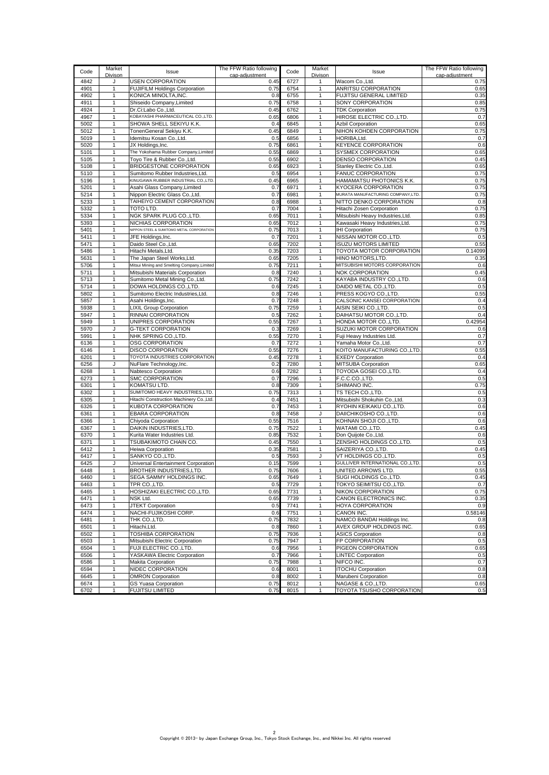| Code         | Market<br>Divison | Issue                                                                      | The FFW Ratio following<br>cap-adjustment | Code         | Market<br>Divison            | Issue                                                    | The FFW Ratio following<br>cap-adjustment |
|--------------|-------------------|----------------------------------------------------------------------------|-------------------------------------------|--------------|------------------------------|----------------------------------------------------------|-------------------------------------------|
| 4842         | J                 | <b>USEN CORPORATION</b>                                                    | 0.45                                      | 6727         | 1                            | Wacom Co., Ltd.                                          | 0.75                                      |
| 4901         | 1                 | <b>FUJIFILM Holdings Corporation</b>                                       | 0.75                                      | 6754         | $\mathbf{1}$                 | ANRITSU CORPORATION                                      | 0.65                                      |
| 4902         | 1                 | KONICA MINOLTA, INC.                                                       | 0.8                                       | 6755         | 1                            | FUJITSU GENERAL LIMITED                                  | 0.35                                      |
| 4911         | 1                 | Shiseido Company, Limited                                                  | 0.75                                      | 6758         | $\mathbf{1}$                 | SONY CORPORATION                                         | 0.85                                      |
| 4924         | 1                 | Dr.Ci:Labo Co.,Ltd.                                                        | 0.45                                      | 6762         | $\mathbf{1}$                 | <b>TDK Corporation</b>                                   | 0.75                                      |
| 4967         | 1                 | KOBAYASHI PHARMACEUTICAL CO.,LTD.                                          | 0.65                                      | 6806         | $\mathbf{1}$                 | HIROSE ELECTRIC CO., LTD.                                | 0.7                                       |
| 5002<br>5012 | 1<br>1            | SHOWA SHELL SEKIYU K.K.<br>TonenGeneral Sekiyu K.K.                        | 0.4<br>0.45                               | 6845<br>6849 | $\mathbf{1}$<br>$\mathbf{1}$ | Azbil Corporation<br>NIHON KOHDEN CORPORATION            | 0.65<br>0.75                              |
| 5019         | 1                 | Idemitsu Kosan Co., Ltd.                                                   | 0.5                                       | 6856         | $\mathbf{1}$                 | HORIBA, Ltd.                                             | 0.7                                       |
| 5020         | $\mathbf{1}$      | JX Holdings, Inc.                                                          | 0.75                                      | 6861         | $\mathbf{1}$                 | <b>KEYENCE CORPORATION</b>                               | 0.6                                       |
| 5101         | 1                 | The Yokohama Rubber Company, Limited                                       | 0.55                                      | 6869         | $\mathbf{1}$                 | SYSMEX CORPORATION                                       | 0.65                                      |
| 5105         | 1                 | Toyo Tire & Rubber Co., Ltd.                                               | 0.55                                      | 6902         | $\mathbf{1}$                 | <b>DENSO CORPORATION</b>                                 | 0.45                                      |
| 5108         | $\mathbf{1}$      | BRIDGESTONE CORPORATION                                                    | 0.65                                      | 6923         | $\mathbf{1}$                 | Stanley Electric Co., Ltd.                               | 0.65                                      |
| 5110         | 1                 | Sumitomo Rubber Industries, Ltd.                                           | 0.5                                       | 6954         | $\mathbf{1}$                 | FANUC CORPORATION                                        | 0.75                                      |
| 5196         | 1                 | KINUGAWA RUBBER INDUSTRIAL CO.,LTD                                         | 0.45                                      | 6965         | $\mathbf{1}$                 | HAMAMATSU PHOTONICS K.K.                                 | 0.75                                      |
| 5201         | 1<br>$\mathbf{1}$ | Asahi Glass Company, Limited<br>Nippon Electric Glass Co., Ltd.            | 0.7<br>0.7                                | 6971         | $\mathbf{1}$<br>$\mathbf{1}$ | KYOCERA CORPORATION<br>MURATA MANUFACTURING COMPANY,LTD. | 0.75<br>0.75                              |
| 5214<br>5233 | 1                 | TAIHEIYO CEMENT CORPORATION                                                | 0.8                                       | 6981<br>6988 | $\mathbf{1}$                 | NITTO DENKO CORPORATION                                  | 0.8                                       |
| 5332         | 1                 | TOTO LTD.                                                                  | 0.7                                       | 7004         | $\mathbf{1}$                 | Hitachi Zosen Corporation                                | 0.75                                      |
| 5334         | $\mathbf{1}$      | NGK SPARK PLUG CO., LTD.                                                   | 0.65                                      | 7011         | $\mathbf{1}$                 | Mitsubishi Heavy Industries, Ltd.                        | 0.85                                      |
| 5393         | 1                 | NICHIAS CORPORATION                                                        | 0.65                                      | 7012         | $\mathbf{1}$                 | Kawasaki Heavy Industries, Ltd.                          | 0.75                                      |
| 5401         | 1                 | NIPPON STEEL & SUMITOMO METAL CORPORATION                                  | 0.75                                      | 7013         | $\mathbf{1}$                 | <b>IHI Corporation</b>                                   | 0.75                                      |
| 5411         | 1                 | JFE Holdings, Inc.                                                         | 0.7                                       | 7201         | $\mathbf{1}$                 | NISSAN MOTOR CO., LTD.                                   | 0.5                                       |
| 5471         | $\mathbf{1}$      | Daido Steel Co., Ltd.                                                      | 0.65                                      | 7202         | $\mathbf{1}$                 | <b>ISUZU MOTORS LIMITED</b>                              | 0.55                                      |
| 5486         | 1                 | Hitachi Metals, Ltd.                                                       | 0.35                                      | 7203         | $\mathbf{1}$                 | TOYOTA MOTOR CORPORATION                                 | 0.14099                                   |
| 5631<br>5706 | 1<br>1            | The Japan Steel Works, Ltd.<br>Mitsui Mining and Smelting Company, Limited | 0.65<br>0.75                              | 7205<br>7211 | $\mathbf{1}$<br>$\mathbf{1}$ | HINO MOTORS, LTD.<br>MITSUBISHI MOTORS CORPORATION       | 0.35<br>0.6                               |
| 5711         | $\mathbf{1}$      | Mitsubishi Materials Corporation                                           | 0.8                                       | 7240         | $\mathbf{1}$                 | NOK CORPORATION                                          | 0.45                                      |
| 5713         | $\mathbf{1}$      | Sumitomo Metal Mining Co., Ltd.                                            | 0.75                                      | 7242         | $\mathbf{1}$                 | KAYABA INDUSTRY CO., LTD.                                | 0.6                                       |
| 5714         | 1                 | DOWA HOLDINGS CO., LTD.                                                    | 0.6                                       | 7245         | $\mathbf{1}$                 | DAIDO METAL CO., LTD.                                    | 0.5                                       |
| 5802         | $\mathbf{1}$      | Sumitomo Electric Industries.Ltd.                                          | 0.8                                       | 7246         | $\mathbf{1}$                 | PRESS KOGYO CO., LTD.                                    | 0.55                                      |
| 5857         | 1                 | Asahi Holdings, Inc.                                                       | 0.7                                       | 7248         | $\mathbf{1}$                 | CALSONIC KANSEI CORPORATION                              | 0.4                                       |
| 5938         | $\mathbf{1}$      | <b>LIXIL Group Corporation</b>                                             | 0.75                                      | 7259         | $\mathbf{1}$                 | AISIN SEIKI CO., LTD.                                    | 0.5                                       |
| 5947         | 1                 | RINNAI CORPORATION                                                         | 0.5                                       | 7262         | $\mathbf{1}$                 | DAIHATSU MOTOR CO., LTD.                                 | 0.4                                       |
| 5949         | $\mathbf{1}$      | UNIPRES CORPORATION                                                        | 0.55                                      | 7267         | $\mathbf{1}$                 | HONDA MOTOR CO., LTD.                                    | 0.42954                                   |
| 5970<br>5991 | J<br>1            | <b>G-TEKT CORPORATION</b><br>NHK SPRING CO., LTD.                          | 0.3<br>0.55                               | 7269<br>7270 | $\mathbf{1}$<br>$\mathbf{1}$ | SUZUKI MOTOR CORPORATION<br>Fuji Heavy Industries Ltd.   | 0.6<br>0.7                                |
| 6136         | 1                 | OSG CORPORATION                                                            | 0.7                                       | 7272         | $\mathbf{1}$                 | Yamaha Motor Co., Ltd.                                   | 0.7                                       |
| 6146         | 1                 | <b>DISCO CORPORATION</b>                                                   | 0.55                                      | 7276         | $\mathbf{1}$                 | KOITO MANUFACTURING CO., LTD.                            | 0.55                                      |
| 6201         | 1                 | TOYOTA INDUSTRIES CORPORATION                                              | 0.45                                      | 7278         | $\mathbf{1}$                 | <b>EXEDY Corporation</b>                                 | 0.4                                       |
| 6256         | J                 | NuFlare Technology, Inc.                                                   | 0.2                                       | 7280         | $\mathbf{1}$                 | <b>MITSUBA Corporation</b>                               | 0.65                                      |
| 6268         | $\mathbf{1}$      | Nabtesco Corporation                                                       | 0.6                                       | 7282         | $\mathbf{1}$                 | TOYODA GOSEI CO., LTD.                                   | 0.4                                       |
| 6273         | 1                 | SMC CORPORATION                                                            | 0.7                                       | 7296         | $\mathbf{1}$                 | F.C.C.CO.,LTD.                                           | 0.5                                       |
| 6301<br>6302 | 1<br>1            | KOMATSU LTD.<br>SUMITOMO HEAVY INDUSTRIES, LTD.                            | 0.8<br>0.75                               | 7309<br>7313 | $\mathbf{1}$<br>$\mathbf{1}$ | SHIMANO INC.<br>TS TECH CO., LTD.                        | 0.75<br>0.5                               |
| 6305         | 1                 | Hitachi Construction Machinery Co., Ltd.                                   | 0.4                                       | 7451         | $\mathbf{1}$                 | Mitsubishi Shokuhin Co., Ltd.                            | 0.3                                       |
| 6326         | 1                 | KUBOTA CORPORATION                                                         | 0.7                                       | 7453         | $\mathbf{1}$                 | RYOHIN KEIKAKU CO., LTD.                                 | 0.6                                       |
| 6361         | 1                 | <b>EBARA CORPORATION</b>                                                   | 0.8                                       | 7458         | J                            | DAIICHIKOSHO CO.,LTD.                                    | 0.6                                       |
| 6366         | $\mathbf{1}$      | Chiyoda Corporation                                                        | 0.55                                      | 7516         | $\mathbf{1}$                 | KOHNAN SHOJI CO., LTD.                                   | 0.6                                       |
| 6367         | $\mathbf{1}$      | DAIKIN INDUSTRIES,LTD.                                                     | 0.75                                      | 7522         | $\mathbf{1}$                 | WATAMI CO., LTD.                                         | 0.45                                      |
| 6370         | 1                 | Kurita Water Industries Ltd.                                               | 0.85                                      | 7532         | $\mathbf{1}$                 | Don Quijote Co., Ltd.                                    | 0.6                                       |
| 6371         | $\mathbf{1}$      | TSUBAKIMOTO CHAIN CO.                                                      | 0.45                                      | 7550         | $\mathbf{1}$                 | ZENSHO HOLDINGS CO., LTD.                                | 0.5                                       |
| 6412<br>6417 | 1<br>$\mathbf{1}$ | Heiwa Corporation<br>SANKYO CO., LTD.                                      | 0.35<br>0.5                               | 7581<br>7593 | $\mathbf{1}$<br>J            | SAIZERIYA CO., LTD.<br>VT HOLDINGS CO., LTD.             | 0.45<br>0.5                               |
| 6425         | J                 | Universal Entertainment Corporation                                        | 0.15                                      | 7599         | $\mathbf{1}$                 | GULLIVER INTERNATIONAL CO., LTD.                         | 0.5                                       |
| 6448         | 1                 | <b>BROTHER INDUSTRIES, LTD.</b>                                            | 0.75                                      | 7606         | $\mathbf{1}$                 | UNITED ARROWS LTD.                                       | 0.55                                      |
| 6460         | 1                 | SEGA SAMMY HOLDINGS INC                                                    | 0.65                                      | 7649         | 1                            | SUGI HOLDINGS CoLTD                                      | 0.45                                      |
| 6463         | $\mathbf{1}$      | TPR CO.,LTD.                                                               | 0.5                                       | 7729         | $\mathbf{1}$                 | TOKYO SEIMITSU CO.,LTD.                                  | 0.7                                       |
| 6465         | 1                 | HOSHIZAKI ELECTRIC CO.,LTD.                                                | 0.65                                      | 7731         | $\mathbf{1}$                 | NIKON CORPORATION                                        | 0.75                                      |
| 6471         | $\mathbf{1}$      | NSK Ltd.                                                                   | 0.65                                      | 7739         | $\mathbf{1}$                 | CANON ELECTRONICS INC.                                   | 0.35                                      |
| 6473         | 1                 | JTEKT Corporation                                                          | 0.5                                       | 7741         | $\mathbf{1}$                 | HOYA CORPORATION                                         | 0.9                                       |
| 6474<br>6481 | 1<br>1            | NACHI-FUJIKOSHI CORP.<br>THK CO., LTD.                                     | 0.6<br>0.75                               | 7751<br>7832 | $\mathbf{1}$<br>$\mathbf{1}$ | CANON INC.<br>NAMCO BANDAI Holdings Inc.                 | 0.58146<br>0.8                            |
| 6501         | 1                 | Hitachi, Ltd.                                                              | 0.8                                       | 7860         | $\mathbf{1}$                 | AVEX GROUP HOLDINGS INC.                                 | 0.65                                      |
| 6502         | 1                 | TOSHIBA CORPORATION                                                        | 0.75                                      | 7936         | $\mathbf{1}$                 | <b>ASICS Corporation</b>                                 | 0.8                                       |
| 6503         | 1                 | Mitsubishi Electric Corporation                                            | 0.75                                      | 7947         | $\mathbf{1}$                 | FP CORPORATION                                           | 0.5                                       |
| 6504         | 1                 | FUJI ELECTRIC CO., LTD.                                                    | 0.6                                       | 7956         | $\mathbf{1}$                 | PIGEON CORPORATION                                       | 0.65                                      |
| 6506         | 1                 | YASKAWA Electric Corporation                                               | 0.7                                       | 7966         | $\mathbf{1}$                 | <b>LINTEC Corporation</b>                                | 0.5                                       |
| 6586         | 1                 | Makita Corporation                                                         | 0.75                                      | 7988         | $\mathbf{1}$                 | NIFCO INC.                                               | 0.7                                       |
| 6594         | 1                 | NIDEC CORPORATION                                                          | 0.6                                       | 8001         | $\mathbf{1}$                 | <b>ITOCHU Corporation</b>                                | 0.8                                       |
| 6645<br>6674 | 1<br>1            | <b>OMRON</b> Corporation<br><b>GS Yuasa Corporation</b>                    | 0.8<br>0.75                               | 8002<br>8012 | $\mathbf{1}$<br>$\mathbf{1}$ | Marubeni Corporation<br>NAGASE & CO., LTD.               | 0.8<br>0.65                               |
| 6702         | 1                 | <b>FUJITSU LIMITED</b>                                                     | 0.75                                      | 8015         | $\mathbf{1}$                 | TOYOTA TSUSHO CORPORATION                                | 0.5                                       |